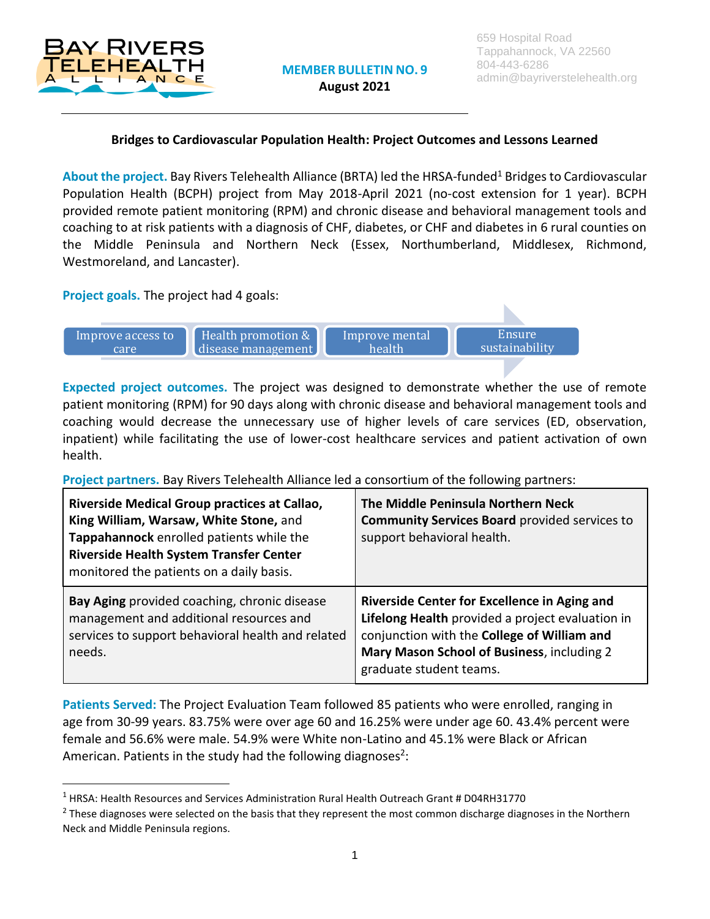

l

## **Bridges to Cardiovascular Population Health: Project Outcomes and Lessons Learned**

About the project. Bay Rivers Telehealth Alliance (BRTA) led the HRSA-funded<sup>1</sup> Bridges to Cardiovascular Population Health (BCPH) project from May 2018-April 2021 (no-cost extension for 1 year). BCPH provided remote patient monitoring (RPM) and chronic disease and behavioral management tools and coaching to at risk patients with a diagnosis of CHF, diabetes, or CHF and diabetes in 6 rural counties on the Middle Peninsula and Northern Neck (Essex, Northumberland, Middlesex, Richmond, Westmoreland, and Lancaster).

## **Project goals.** The project had 4 goals:



**Expected project outcomes.** The project was designed to demonstrate whether the use of remote patient monitoring (RPM) for 90 days along with chronic disease and behavioral management tools and coaching would decrease the unnecessary use of higher levels of care services (ED, observation, inpatient) while facilitating the use of lower-cost healthcare services and patient activation of own health.

**Project partners.** Bay Rivers Telehealth Alliance led a consortium of the following partners:

| Riverside Medical Group practices at Callao,<br>King William, Warsaw, White Stone, and<br>Tappahannock enrolled patients while the<br><b>Riverside Health System Transfer Center</b><br>monitored the patients on a daily basis. | The Middle Peninsula Northern Neck<br><b>Community Services Board provided services to</b><br>support behavioral health.                                                                                                 |
|----------------------------------------------------------------------------------------------------------------------------------------------------------------------------------------------------------------------------------|--------------------------------------------------------------------------------------------------------------------------------------------------------------------------------------------------------------------------|
| Bay Aging provided coaching, chronic disease<br>management and additional resources and<br>services to support behavioral health and related<br>needs.                                                                           | Riverside Center for Excellence in Aging and<br>Lifelong Health provided a project evaluation in<br>conjunction with the College of William and<br>Mary Mason School of Business, including 2<br>graduate student teams. |

**Patients Served:** The Project Evaluation Team followed 85 patients who were enrolled, ranging in age from 30-99 years. 83.75% were over age 60 and 16.25% were under age 60. 43.4% percent were female and 56.6% were male. 54.9% were White non-Latino and 45.1% were Black or African American. Patients in the study had the following diagnoses<sup>2</sup>:

<sup>1</sup> HRSA: Health Resources and Services Administration Rural Health Outreach Grant # D04RH31770

 $^2$  These diagnoses were selected on the basis that they represent the most common discharge diagnoses in the Northern Neck and Middle Peninsula regions.